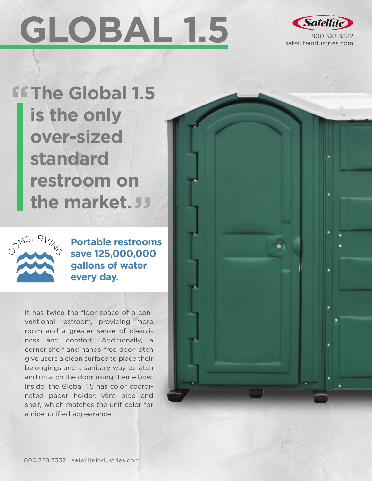## **GLOBAL 1.5**



**The Global 1.5 is the only over-sized standard restroom on the market.**



**Portable restrooms save 125,000,000 gallons of water every day.**

It has twice the floor space of a conventional restroom, providing more room and a greater sense of cleanliness and comfort. Additionally, a corner shelf and hands-free door latch give users a clean surface to place their belongings and a sanitary way to latch and unlatch the door using their elbow. Inside, the Global 1.5 has color coordinated paper holder, vent pipe and shelf, which matches the unit color for a nice, unified appearance.